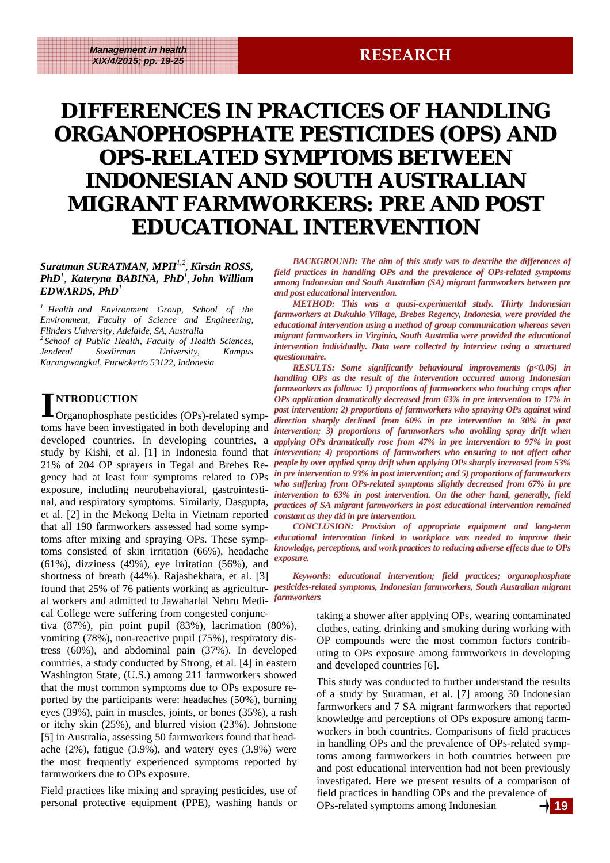## **DIFFERENCES IN PRACTICES OF HANDLING ORGANOPHOSPHATE PESTICIDES (OPS) AND OPS-RELATED SYMPTOMS BETWEEN RELATED SYMPTOMS BETWEEN INDONESIAN AND SOUTH AUSTRALIAN MIGRANT FARMWORKERS: PRE AND POST EDUCATIONAL INTERVENTION**

#### *Suratman SURATMAN, MPH1,2, Kirstin ROSS, PhD<sup>1</sup> , Kateryna BABINA, PhD<sup>1</sup> , John William EDWARDS, PhD<sup>1</sup>*

*1 Health and Environment Group, School of the Environment, Faculty of Science and Engineering, Flinders University, Adelaide, SA, Australia 2 School of Public Health, Faculty of Health Sciences, Jenderal Soedirman University, Kampus Karangwangkal, Purwokerto 53122, Indonesia* 

**I NTRODUCTION**  Organophosphate pesticides (OPs)-related symptoms have been investigated in both developing and developed countries. In developing countries, a gency had at least four symptoms related to OPs exposure, including neurobehavioral, gastrointestinal, and respiratory symptoms. Similarly, Dasgupta, et al. [2] in the Mekong Delta in Vietnam reported that all 190 farmworkers assessed had some symptoms after mixing and spraying OPs. These symptoms consisted of skin irritation (66%), headache (61%), dizziness (49%), eye irritation (56%), and shortness of breath (44%). Rajashekhara, et al. [3] al workers and admitted to Jawaharlal Nehru Medi-*farmworkers*  cal College were suffering from congested conjunc-

tiva (87%), pin point pupil (83%), lacrimation (80%), vomiting (78%), non-reactive pupil (75%), respiratory distress (60%), and abdominal pain (37%). In developed countries, a study conducted by Strong, et al. [4] in eastern Washington State, (U.S.) among 211 farmworkers showed that the most common symptoms due to OPs exposure reported by the participants were: headaches (50%), burning eyes (39%), pain in muscles, joints, or bones (35%), a rash or itchy skin (25%), and blurred vision (23%). Johnstone [5] in Australia, assessing 50 farmworkers found that headache (2%), fatigue (3.9%), and watery eyes (3.9%) were the most frequently experienced symptoms reported by farmworkers due to OPs exposure.

Field practices like mixing and spraying pesticides, use of personal protective equipment (PPE), washing hands or

*BACKGROUND: The aim of this study was to describe the differences of field practices in handling OPs and the prevalence of OPs-related symptoms among Indonesian and South Australian (SA) migrant farmworkers between pre and post educational intervention.* 

*METHOD: This was a quasi-experimental study. Thirty Indonesian farmworkers at Dukuhlo Village, Brebes Regency, Indonesia, were provided the educational intervention using a method of group communication whereas seven migrant farmworkers in Virginia, South Australia were provided the educational intervention individually. Data were collected by interview using a structured questionnaire.* 

study by Kishi, et al. [1] in Indonesia found that *intervention; 4) proportions of farmworkers who ensuring to not affect other* 21% of 204 OP sprayers in Tegal and Brebes Re-*people by over applied spray drift when applying OPs sharply increased from 53% RESULTS: Some significantly behavioural improvements (p<0.05) in handling OPs as the result of the intervention occurred among Indonesian farmworkers as follows: 1) proportions of farmworkers who touching crops after OPs application dramatically decreased from 63% in pre intervention to 17% in post intervention; 2) proportions of farmworkers who spraying OPs against wind direction sharply declined from 60% in pre intervention to 30% in post intervention; 3) proportions of farmworkers who avoiding spray drift when applying OPs dramatically rose from 47% in pre intervention to 97% in post in pre intervention to 93% in post intervention; and 5) proportions of farmworkers who suffering from OPs-related symptoms slightly decreased from 67% in pre intervention to 63% in post intervention. On the other hand, generally, field practices of SA migrant farmworkers in post educational intervention remained constant as they did in pre intervention.* 

*CONCLUSION: Provision of appropriate equipment and long-term educational intervention linked to workplace was needed to improve their knowledge, perceptions, and work practices to reducing adverse effects due to OPs exposure.* 

found that 25% of 76 patients working as agricultur- *pesticides-related symptoms, Indonesian farmworkers, South Australian migrant Keywords: educational intervention; field practices; organophosphate* 

> taking a shower after applying OPs, wearing contaminated clothes, eating, drinking and smoking during working with OP compounds were the most common factors contributing to OPs exposure among farmworkers in developing and developed countries [6].

> This study was conducted to further understand the results of a study by Suratman, et al. [7] among 30 Indonesian farmworkers and 7 SA migrant farmworkers that reported knowledge and perceptions of OPs exposure among farmworkers in both countries. Comparisons of field practices in handling OPs and the prevalence of OPs-related symptoms among farmworkers in both countries between pre and post educational intervention had not been previously investigated. Here we present results of a comparison of field practices in handling OPs and the prevalence of OPs-related symptoms among Indonesian **19**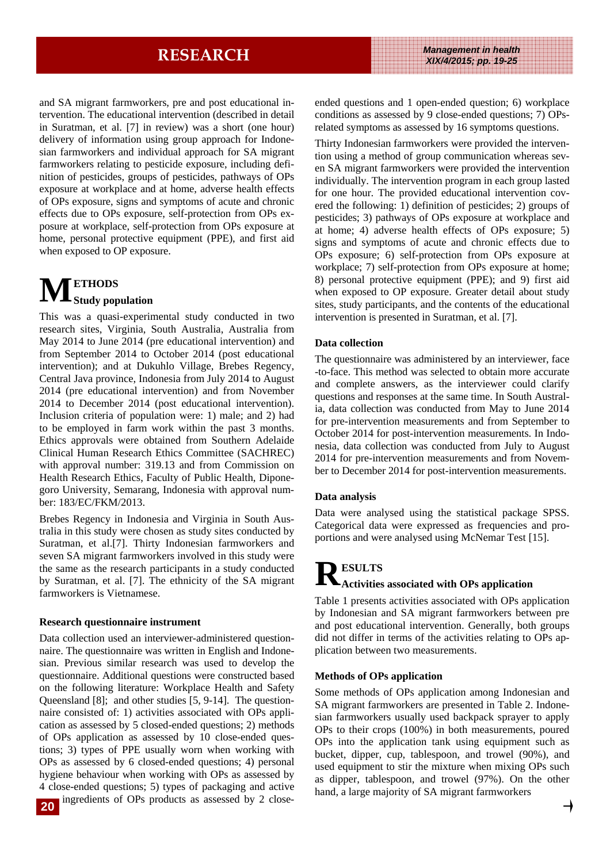and SA migrant farmworkers, pre and post educational intervention. The educational intervention (described in detail in Suratman, et al. [7] in review) was a short (one hour) delivery of information using group approach for Indonesian farmworkers and individual approach for SA migrant farmworkers relating to pesticide exposure, including definition of pesticides, groups of pesticides, pathways of OPs exposure at workplace and at home, adverse health effects of OPs exposure, signs and symptoms of acute and chronic effects due to OPs exposure, self-protection from OPs exposure at workplace, self-protection from OPs exposure at home, personal protective equipment (PPE), and first aid when exposed to OP exposure.

# $\mathbf{M}_{\text{study population}}$

This was a quasi-experimental study conducted in two research sites, Virginia, South Australia, Australia from May 2014 to June 2014 (pre educational intervention) and from September 2014 to October 2014 (post educational intervention); and at Dukuhlo Village, Brebes Regency, Central Java province, Indonesia from July 2014 to August 2014 (pre educational intervention) and from November 2014 to December 2014 (post educational intervention). Inclusion criteria of population were: 1) male; and 2) had to be employed in farm work within the past 3 months. Ethics approvals were obtained from Southern Adelaide Clinical Human Research Ethics Committee (SACHREC) with approval number: 319.13 and from Commission on Health Research Ethics, Faculty of Public Health, Diponegoro University, Semarang, Indonesia with approval number: 183/EC/FKM/2013.

Brebes Regency in Indonesia and Virginia in South Australia in this study were chosen as study sites conducted by Suratman, et al.[7]. Thirty Indonesian farmworkers and seven SA migrant farmworkers involved in this study were the same as the research participants in a study conducted by Suratman, et al. [7]. The ethnicity of the SA migrant farmworkers is Vietnamese.

#### **Research questionnaire instrument**

Data collection used an interviewer-administered questionnaire. The questionnaire was written in English and Indonesian. Previous similar research was used to develop the questionnaire. Additional questions were constructed based on the following literature: Workplace Health and Safety Queensland [8]; and other studies [5, 9-14]. The questionnaire consisted of: 1) activities associated with OPs application as assessed by 5 closed-ended questions; 2) methods of OPs application as assessed by 10 close-ended questions; 3) types of PPE usually worn when working with OPs as assessed by 6 closed-ended questions; 4) personal hygiene behaviour when working with OPs as assessed by 4 close-ended questions; 5) types of packaging and active ingredients of OPs products as assessed by 2 close-

ended questions and 1 open-ended question; 6) workplace conditions as assessed by 9 close-ended questions; 7) OPsrelated symptoms as assessed by 16 symptoms questions.

Thirty Indonesian farmworkers were provided the intervention using a method of group communication whereas seven SA migrant farmworkers were provided the intervention individually. The intervention program in each group lasted for one hour. The provided educational intervention covered the following: 1) definition of pesticides; 2) groups of pesticides; 3) pathways of OPs exposure at workplace and at home; 4) adverse health effects of OPs exposure; 5) signs and symptoms of acute and chronic effects due to OPs exposure; 6) self-protection from OPs exposure at workplace; 7) self-protection from OPs exposure at home; 8) personal protective equipment (PPE); and 9) first aid when exposed to OP exposure. Greater detail about study sites, study participants, and the contents of the educational intervention is presented in Suratman, et al. [7].

#### **Data collection**

The questionnaire was administered by an interviewer, face -to-face. This method was selected to obtain more accurate and complete answers, as the interviewer could clarify questions and responses at the same time. In South Australia, data collection was conducted from May to June 2014 for pre-intervention measurements and from September to October 2014 for post-intervention measurements. In Indonesia, data collection was conducted from July to August 2014 for pre-intervention measurements and from November to December 2014 for post-intervention measurements.

#### **Data analysis**

Data were analysed using the statistical package SPSS. Categorical data were expressed as frequencies and proportions and were analysed using McNemar Test [15].

## **R ESULTS Activities associated with OPs application**

Table 1 presents activities associated with OPs application by Indonesian and SA migrant farmworkers between pre and post educational intervention. Generally, both groups did not differ in terms of the activities relating to OPs application between two measurements.

#### **Methods of OPs application**

Some methods of OPs application among Indonesian and SA migrant farmworkers are presented in Table 2. Indonesian farmworkers usually used backpack sprayer to apply OPs to their crops (100%) in both measurements, poured OPs into the application tank using equipment such as bucket, dipper, cup, tablespoon, and trowel (90%), and used equipment to stir the mixture when mixing OPs such as dipper, tablespoon, and trowel (97%). On the other hand, a large majority of SA migrant farmworkers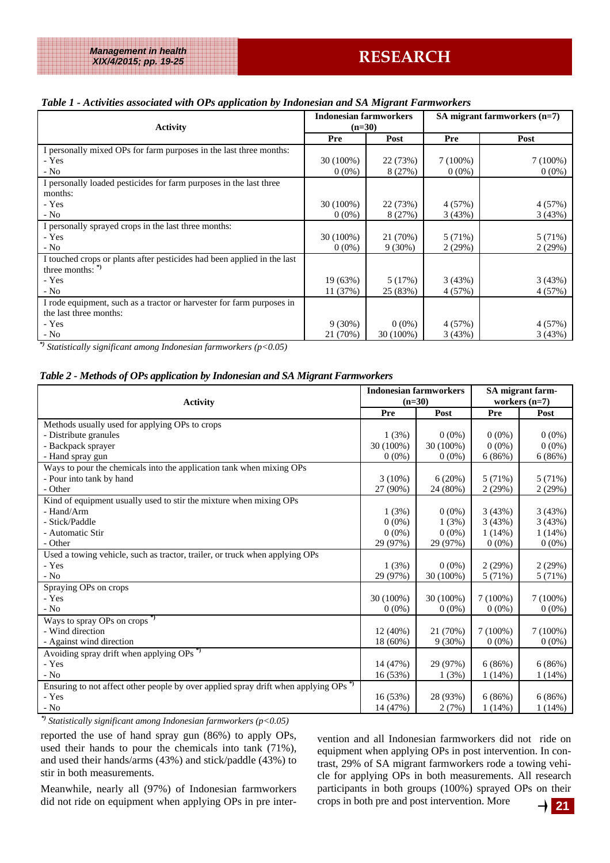### *Table 1 - Activities associated with OPs application by Indonesian and SA Migrant Farmworkers*

| . .                                                                     | <b>Indonesian farmworkers</b> |           | SA migrant farmworkers $(n=7)$ |            |  |
|-------------------------------------------------------------------------|-------------------------------|-----------|--------------------------------|------------|--|
| <b>Activity</b>                                                         | $(n=30)$                      |           |                                |            |  |
|                                                                         |                               |           |                                |            |  |
|                                                                         | Pre                           | Post      | Pre                            | Post       |  |
| I personally mixed OPs for farm purposes in the last three months:      |                               |           |                                |            |  |
| - Yes                                                                   | 30 (100%)                     | 22 (73%)  | $7(100\%)$                     | $7(100\%)$ |  |
| $-$ No                                                                  | $0(0\%)$                      | 8(27%)    | $0(0\%)$                       | $0(0\%)$   |  |
| I personally loaded pesticides for farm purposes in the last three      |                               |           |                                |            |  |
| months:                                                                 |                               |           |                                |            |  |
| - Yes                                                                   | 30 (100%)                     | 22 (73%)  | 4 (57%)                        | 4(57%)     |  |
| $-$ No                                                                  | $0(0\%)$                      | 8(27%)    | 3(43%)                         | 3(43%)     |  |
| I personally sprayed crops in the last three months:                    |                               |           |                                |            |  |
| - Yes                                                                   | 30 (100%)                     | 21 (70%)  | 5 (71%)                        | 5 (71%)    |  |
| $-$ No                                                                  | $0(0\%)$                      | $9(30\%)$ | 2(29%)                         | 2(29%)     |  |
| I touched crops or plants after pesticides had been applied in the last |                               |           |                                |            |  |
| three months: <sup>*</sup>                                              |                               |           |                                |            |  |
| - Yes                                                                   | 19(63%)                       | 5(17%)    | 3(43%)                         | 3(43%)     |  |
| $-$ No                                                                  | 11 (37%)                      | 25 (83%)  | 4 (57%)                        | 4 (57%)    |  |
| I rode equipment, such as a tractor or harvester for farm purposes in   |                               |           |                                |            |  |
| the last three months:                                                  |                               |           |                                |            |  |
| - Yes                                                                   | $9(30\%)$                     | $0(0\%)$  | 4 (57%)                        | 4(57%)     |  |
| $-$ No                                                                  | 21 (70%)                      | 30 (100%) | 3(43%)                         | 3(43%)     |  |

*\*) Statistically significant among Indonesian farmworkers (p<0.05)* 

#### *Table 2 - Methods of OPs application by Indonesian and SA Migrant Farmworkers*

| <b>Activity</b>                                                                                |            | <b>Indonesian farmworkers</b><br>$(n=30)$ |            | SA migrant farm-<br>workers $(n=7)$ |  |
|------------------------------------------------------------------------------------------------|------------|-------------------------------------------|------------|-------------------------------------|--|
|                                                                                                |            | Post                                      | Pre        | Post                                |  |
| Methods usually used for applying OPs to crops                                                 |            |                                           |            |                                     |  |
| - Distribute granules                                                                          | 1(3%)      | $0(0\%)$                                  | $0(0\%)$   | $0(0\%)$                            |  |
| - Backpack sprayer                                                                             | 30 (100%)  | 30 (100%)                                 | $0(0\%)$   | $0(0\%)$                            |  |
| - Hand spray gun                                                                               | $0(0\%)$   | $0(0\%)$                                  | 6(86%)     | 6(86%)                              |  |
| Ways to pour the chemicals into the application tank when mixing OPs                           |            |                                           |            |                                     |  |
| - Pour into tank by hand                                                                       | $3(10\%)$  | 6(20%)                                    | 5(71%)     | 5(71%)                              |  |
| - Other                                                                                        | 27 (90%)   | 24 (80%)                                  | 2(29%)     | 2(29%)                              |  |
| Kind of equipment usually used to stir the mixture when mixing OPs                             |            |                                           |            |                                     |  |
| - Hand/Arm                                                                                     | 1(3%)      | $0(0\%)$                                  | 3(43%)     | 3(43%)                              |  |
| - Stick/Paddle                                                                                 | $0(0\%)$   | 1(3%)                                     | 3(43%)     | 3(43%)                              |  |
| - Automatic Stir                                                                               | $0(0\%)$   | $0(0\%)$                                  | 1(14%)     | 1(14%)                              |  |
| - Other                                                                                        | 29 (97%)   | 29 (97%)                                  | $0(0\%)$   | $0(0\%)$                            |  |
| Used a towing vehicle, such as tractor, trailer, or truck when applying OPs                    |            |                                           |            |                                     |  |
| - Yes                                                                                          | 1(3%)      | $0(0\%)$                                  | 2(29%)     | 2(29%)                              |  |
| - No                                                                                           | 29 (97%)   | 30 (100%)                                 | 5(71%)     | 5 (71%)                             |  |
| Spraying OPs on crops                                                                          |            |                                           |            |                                     |  |
| - Yes                                                                                          | 30 (100%)  | 30 (100%)                                 | $7(100\%)$ | $7(100\%)$                          |  |
| $-$ No                                                                                         | $0(0\%)$   | $0(0\%)$                                  | $0(0\%)$   | $0(0\%)$                            |  |
| Ways to spray OPs on crops <sup>*</sup>                                                        |            |                                           |            |                                     |  |
| - Wind direction                                                                               | $12(40\%)$ | 21 (70%)                                  | $7(100\%)$ | $7(100\%)$                          |  |
| - Against wind direction                                                                       | 18 (60%)   | $9(30\%)$                                 | $0(0\%)$   | $0(0\%)$                            |  |
| Avoiding spray drift when applying OPs <sup>*</sup>                                            |            |                                           |            |                                     |  |
| - Yes                                                                                          | 14 (47%)   | 29 (97%)                                  | 6(86%)     | 6(86%)                              |  |
| $-$ No                                                                                         | 16 (53%)   | 1(3%)                                     | $1(14\%)$  | 1(14%)                              |  |
| Ensuring to not affect other people by over applied spray drift when applying OPs <sup>*</sup> |            |                                           |            |                                     |  |
| - Yes                                                                                          | 16(53%)    | 28 (93%)                                  | 6(86%)     | 6(86%)                              |  |
| $-$ No                                                                                         | 14 (47%)   | 2(7%)                                     | $1(14\%)$  | $1(14\%)$                           |  |

*\*) Statistically significant among Indonesian farmworkers (p<0.05)* 

reported the use of hand spray gun (86%) to apply OPs, used their hands to pour the chemicals into tank (71%), and used their hands/arms (43%) and stick/paddle (43%) to stir in both measurements.

Meanwhile, nearly all (97%) of Indonesian farmworkers did not ride on equipment when applying OPs in pre inter-

vention and all Indonesian farmworkers did not ride on equipment when applying OPs in post intervention. In contrast, 29% of SA migrant farmworkers rode a towing vehicle for applying OPs in both measurements. All research participants in both groups (100%) sprayed OPs on their crops in both pre and post intervention. More

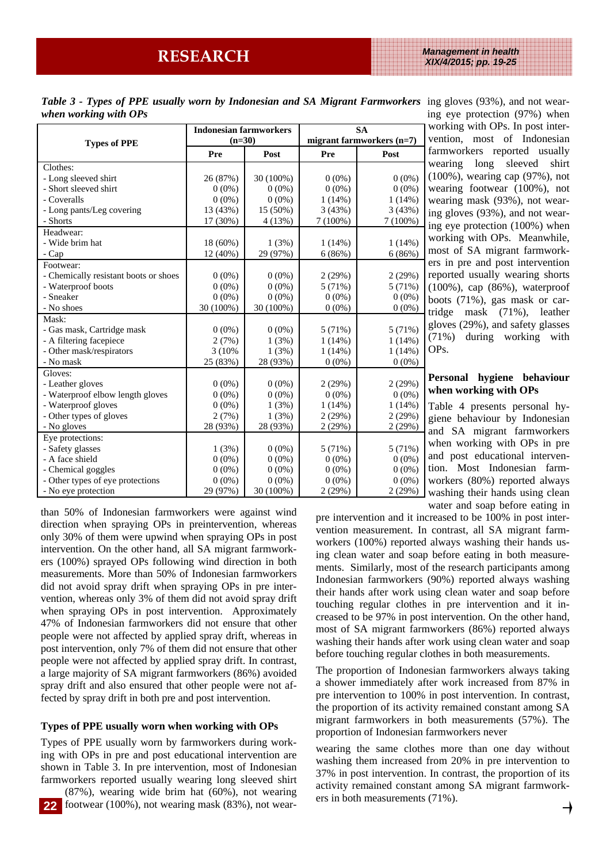Table 3 - Types of PPE usually worn by Indonesian and SA Migrant Farmworkers ing gloves (93%), and not wear*when working with OPs* 

|                                       | <b>Indonesian farmworkers</b><br>$(n=30)$ |           | <b>SA</b><br>migrant farmworkers (n=7) |            |  |
|---------------------------------------|-------------------------------------------|-----------|----------------------------------------|------------|--|
| <b>Types of PPE</b>                   | Pre                                       | Post      | Pre                                    | Post       |  |
| Clothes:                              |                                           |           |                                        |            |  |
| - Long sleeved shirt                  | 26 (87%)                                  | 30 (100%) | $0(0\%)$                               | $0(0\%)$   |  |
| - Short sleeved shirt                 | $0(0\%)$                                  | $0(0\%)$  | $0(0\%)$                               | $0(0\%)$   |  |
| - Coveralls                           | $0(0\%)$                                  | $0(0\%)$  | $1(14\%)$                              | 1(14%)     |  |
| - Long pants/Leg covering             | 13 (43%)                                  | 15 (50%)  | 3(43%)                                 | 3(43%)     |  |
| - Shorts                              | 17 (30%)                                  | 4(13%)    | $7(100\%)$                             | $7(100\%)$ |  |
| Headwear:                             |                                           |           |                                        |            |  |
| - Wide brim hat                       | 18 (60%)                                  | 1(3%)     | $1(14\%)$                              | 1(14%)     |  |
| - Cap                                 | 12 (40%)                                  | 29 (97%)  | 6(86%)                                 | 6(86%)     |  |
| Footwear:                             |                                           |           |                                        |            |  |
| - Chemically resistant boots or shoes | $0(0\%)$                                  | $0(0\%)$  | 2(29%)                                 | 2(29%)     |  |
| - Waterproof boots                    | $0(0\%)$                                  | $0(0\%)$  | 5(71%)                                 | 5(71%)     |  |
| - Sneaker                             | $0(0\%)$                                  | $0(0\%)$  | $0(0\%)$                               | $0(0\%)$   |  |
| - No shoes                            | 30 (100%)                                 | 30 (100%) | $0(0\%)$                               | $0(0\%)$   |  |
| Mask:                                 |                                           |           |                                        |            |  |
| - Gas mask, Cartridge mask            | $0(0\%)$                                  | $0(0\%)$  | 5 (71%)                                | 5(71%)     |  |
| - A filtering facepiece               | 2(7%)                                     | 1(3%)     | $1(14\%)$                              | 1(14%)     |  |
| - Other mask/respirators              | 3 (10%)                                   | 1(3%)     | $1(14\%)$                              | $1(14\%)$  |  |
| - No mask                             | 25 (83%)                                  | 28 (93%)  | $0(0\%)$                               | $0(0\%)$   |  |
| Gloves:                               |                                           |           |                                        |            |  |
| - Leather gloves                      | $0(0\%)$                                  | $0(0\%)$  | 2(29%)                                 | 2(29%)     |  |
| - Waterproof elbow length gloves      | $0(0\%)$                                  | $0(0\%)$  | $0(0\%)$                               | $0(0\%)$   |  |
| - Waterproof gloves                   | $0(0\%)$                                  | 1(3%)     | $1(14\%)$                              | $1(14\%)$  |  |
| - Other types of gloves               | 2(7%)                                     | 1(3%)     | 2(29%)                                 | 2(29%)     |  |
| - No gloves                           | 28 (93%)                                  | 28 (93%)  | 2(29%)                                 | 2(29%)     |  |
| Eye protections:                      |                                           |           |                                        |            |  |
| - Safety glasses                      | 1(3%)                                     | $0(0\%)$  | 5(71%)                                 | 5 (71%)    |  |
| - A face shield                       | $0(0\%)$                                  | $0(0\%)$  | $0(0\%)$                               | $0(0\%)$   |  |
| - Chemical goggles                    | $0(0\%)$                                  | $0(0\%)$  | $0(0\%)$                               | $0(0\%)$   |  |
| - Other types of eye protections      | $0(0\%)$                                  | $0(0\%)$  | $0(0\%)$                               | $0(0\%)$   |  |
| - No eye protection                   | 29 (97%)                                  | 30 (100%) | 2(29%)                                 | 2(29%)     |  |

ing eye protection (97%) when working with OPs. In post intervention, most of Indonesian farmworkers reported usually wearing long sleeved shirt (100%), wearing cap (97%), not wearing footwear (100%), not wearing mask (93%), not wearing gloves (93%), and not wearing eye protection (100%) when working with OPs. Meanwhile, most of SA migrant farmworkers in pre and post intervention reported usually wearing shorts (100%), cap (86%), waterproof boots (71%), gas mask or cartridge mask (71%), leather gloves (29%), and safety glasses (71%) during working with OPs.

#### **Personal hygiene behaviour when working with OPs**

Table 4 presents personal hygiene behaviour by Indonesian and SA migrant farmworkers when working with OPs in pre and post educational intervention. Most Indonesian farmworkers (80%) reported always washing their hands using clean water and soap before eating in

than 50% of Indonesian farmworkers were against wind direction when spraying OPs in preintervention, whereas only 30% of them were upwind when spraying OPs in post intervention. On the other hand, all SA migrant farmworkers (100%) sprayed OPs following wind direction in both measurements. More than 50% of Indonesian farmworkers did not avoid spray drift when spraying OPs in pre intervention, whereas only 3% of them did not avoid spray drift when spraying OPs in post intervention. Approximately 47% of Indonesian farmworkers did not ensure that other people were not affected by applied spray drift, whereas in post intervention, only 7% of them did not ensure that other people were not affected by applied spray drift. In contrast, a large majority of SA migrant farmworkers (86%) avoided spray drift and also ensured that other people were not affected by spray drift in both pre and post intervention.

#### **Types of PPE usually worn when working with OPs**

Types of PPE usually worn by farmworkers during working with OPs in pre and post educational intervention are shown in Table 3. In pre intervention, most of Indonesian farmworkers reported usually wearing long sleeved shirt

(87%), wearing wide brim hat (60%), not wearing footwear (100%), not wearing mask (83%), not wear-**22**

pre intervention and it increased to be 100% in post intervention measurement. In contrast, all SA migrant farmworkers (100%) reported always washing their hands using clean water and soap before eating in both measurements. Similarly, most of the research participants among Indonesian farmworkers (90%) reported always washing their hands after work using clean water and soap before touching regular clothes in pre intervention and it increased to be 97% in post intervention. On the other hand, most of SA migrant farmworkers (86%) reported always washing their hands after work using clean water and soap before touching regular clothes in both measurements.

The proportion of Indonesian farmworkers always taking a shower immediately after work increased from 87% in pre intervention to 100% in post intervention. In contrast, the proportion of its activity remained constant among SA migrant farmworkers in both measurements (57%). The proportion of Indonesian farmworkers never

wearing the same clothes more than one day without washing them increased from 20% in pre intervention to 37% in post intervention. In contrast, the proportion of its activity remained constant among SA migrant farmworkers in both measurements (71%).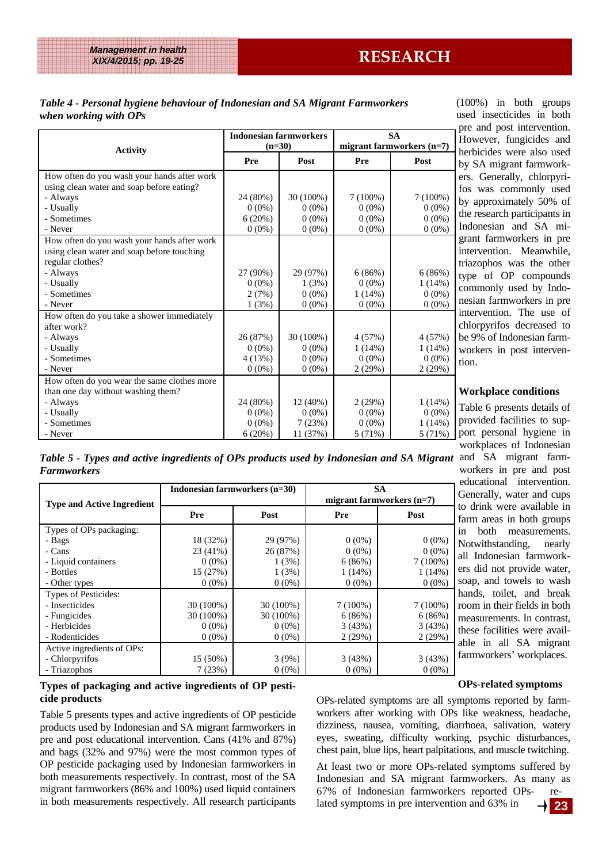#### *Table 4 - Personal hygiene behaviour of Indonesian and SA Migrant Farmworkers when working with OPs*

|                                             | <b>Indonesian farmworkers</b> |            | <b>SA</b>                   |           |  |
|---------------------------------------------|-------------------------------|------------|-----------------------------|-----------|--|
| <b>Activity</b>                             | $(n=30)$                      |            | migrant farmworkers $(n=7)$ |           |  |
|                                             | Pre                           | Post       | Pre                         | Post      |  |
| How often do you wash your hands after work |                               |            |                             |           |  |
| using clean water and soap before eating?   |                               |            |                             |           |  |
| - Always                                    | 24 (80%)                      | 30 (100%)  | $7(100\%)$                  | 7(100%)   |  |
| - Usually                                   | $0(0\%)$                      | $0(0\%)$   | $0(0\%)$                    | $0(0\%)$  |  |
| - Sometimes                                 | 6(20%)                        | $0(0\%)$   | $0(0\%)$                    | $0(0\%)$  |  |
| - Never                                     | $0(0\%)$                      | $0(0\%)$   | $0(0\%)$                    | $0(0\%)$  |  |
| How often do you wash your hands after work |                               |            |                             |           |  |
| using clean water and soap before touching  |                               |            |                             |           |  |
| regular clothes?                            |                               |            |                             |           |  |
| - Always                                    | 27 (90%)                      | 29 (97%)   | 6(86%)                      | 6(86%)    |  |
| - Usually                                   | $0(0\%)$                      | 1(3%)      | $0(0\%)$                    | 1(14%)    |  |
| - Sometimes                                 | 2(7%)                         | $0(0\%)$   | $1(14\%)$                   | $0(0\%)$  |  |
| - Never                                     | 1(3%)                         | $0(0\%)$   | $0(0\%)$                    | $0(0\%)$  |  |
| How often do you take a shower immediately  |                               |            |                             |           |  |
| after work?                                 |                               |            |                             |           |  |
| - Always                                    | 26 (87%)                      | 30 (100%)  | 4(57%)                      | 4(57%)    |  |
| - Usually                                   | $0(0\%)$                      | $0(0\%)$   | 1(14%)                      | 1(14%)    |  |
| - Sometimes                                 | 4(13%)                        | $0(0\%)$   | $0(0\%)$                    | $0(0\%)$  |  |
| - Never                                     | $0(0\%)$                      | $0(0\%)$   | 2(29%)                      | 2(29%)    |  |
| How often do you wear the same clothes more |                               |            |                             |           |  |
| than one day without washing them?          |                               |            |                             |           |  |
| - Always                                    | 24 (80%)                      | $12(40\%)$ | 2(29%)                      | $1(14\%)$ |  |
| - Usually                                   | $0(0\%)$                      | $0(0\%)$   | $0(0\%)$                    | $0(0\%)$  |  |
| - Sometimes                                 | $0(0\%)$                      | 7(23%)     | $0(0\%)$                    | 1(14%)    |  |
| - Never                                     | 6(20%)                        | 11 (37%)   | 5(71%)                      | 5(71%)    |  |

(100%) in both groups used insecticides in both pre and post intervention. However, fungicides and herbicides were also used by SA migrant farmworkers. Generally, chlorpyrifos was commonly used by approximately 50% of the research participants in Indonesian and SA migrant farmworkers in pre intervention. Meanwhile, triazophos was the other type of OP compounds commonly used by Indonesian farmworkers in pre intervention. The use of chlorpyrifos decreased to be 9% of Indonesian farmworkers in post intervention.

#### **Workplace conditions**

Table 6 presents details of provided facilities to support personal hygiene in workplaces of Indonesian

educational intervention.

Table 5 - Types and active ingredients of OPs products used by Indonesian and SA Migrant and SA migrant farmworkers in pre and post *Farmworkers*

| <b>Type and Active Ingredient</b>                                                                | Indonesian farmworkers (n=30)                             |                                                    | <b>SA</b><br>migrant farmworkers $(n=7)$                |                                                             | educational intervention.<br>Generally, water and cups<br>to drink were available in                                                                   |
|--------------------------------------------------------------------------------------------------|-----------------------------------------------------------|----------------------------------------------------|---------------------------------------------------------|-------------------------------------------------------------|--------------------------------------------------------------------------------------------------------------------------------------------------------|
|                                                                                                  | <b>Pre</b>                                                | Post                                               | Pre                                                     | Post                                                        | farm areas in both groups                                                                                                                              |
| Types of OPs packaging:<br>- Bags<br>- Cans<br>- Liquid containers<br>- Bottles<br>- Other types | 18 (32%)<br>$23(41\%)$<br>$0(0\%)$<br>15(27%)<br>$0(0\%)$ | 29 (97%)<br>26 (87%)<br>1(3%)<br>1(3%)<br>$0(0\%)$ | $0(0\%)$<br>$0(0\%)$<br>6(86%)<br>$1(14\%)$<br>$0(0\%)$ | $0(0\%)$<br>$0(0\%)$<br>$7(100\%)$<br>$1(14\%)$<br>$0(0\%)$ | <b>both</b><br>measurements.<br>in<br>Notwithstanding,<br>nearly<br>all Indonesian farmwork-<br>ers did not provide water,<br>soap, and towels to wash |
| Types of Pesticides:<br>- Insecticides<br>- Fungicides<br>- Herbicides<br>- Rodenticides         | $30(100\%)$<br>30 (100%)<br>$0(0\%)$<br>$0(0\%)$          | $30(100\%)$<br>$30(100\%)$<br>$0(0\%)$<br>$0(0\%)$ | $7(100\%)$<br>6(86%)<br>3(43%)<br>2(29%)                | $7(100\%)$<br>6(86%)<br>3(43%)<br>2(29%)                    | hands, toilet, and break<br>room in their fields in both<br>measurements. In contrast,<br>these facilities were avail-                                 |
| Active ingredients of OPs:<br>- Chlorpyrifos<br>- Triazophos                                     | $15(50\%)$<br>7(23%)                                      | 3(9%)<br>$0(0\%)$                                  | 3(43%)<br>$0(0\%)$                                      | 3(43%)<br>$0(0\%)$                                          | able in all SA migrant<br>farmworkers' workplaces.                                                                                                     |

#### **Types of packaging and active ingredients of OP pesticide products**

Table 5 presents types and active ingredients of OP pesticide products used by Indonesian and SA migrant farmworkers in pre and post educational intervention. Cans (41% and 87%) and bags (32% and 97%) were the most common types of OP pesticide packaging used by Indonesian farmworkers in both measurements respectively. In contrast, most of the SA migrant farmworkers (86% and 100%) used liquid containers in both measurements respectively. All research participants

#### **OPs-related symptoms**

OPs-related symptoms are all symptoms reported by farmworkers after working with OPs like weakness, headache, dizziness, nausea, vomiting, diarrhoea, salivation, watery eyes, sweating, difficulty working, psychic disturbances, chest pain, blue lips, heart palpitations, and muscle twitching.

At least two or more OPs-related symptoms suffered by Indonesian and SA migrant farmworkers. As many as 67% of Indonesian farmworkers reported OPs- related symptoms in pre intervention and 63% in

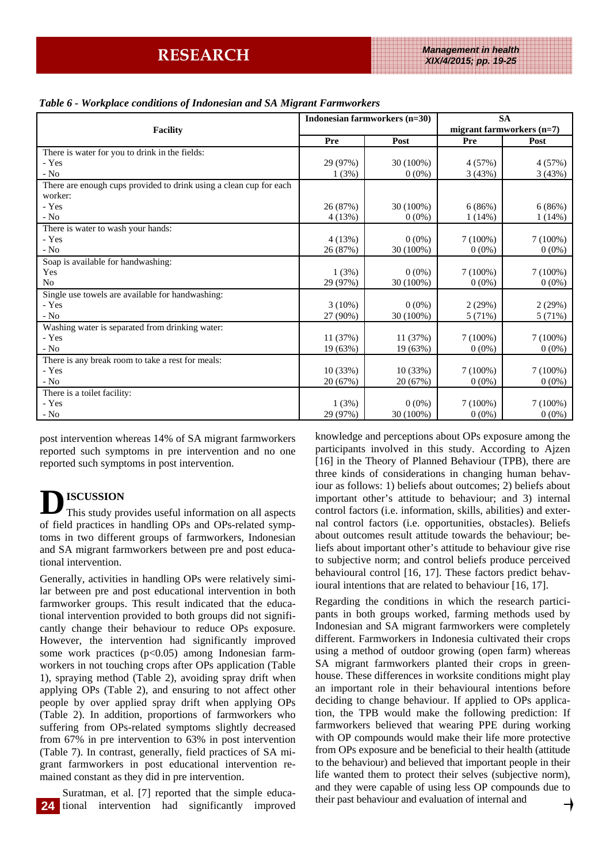#### *Table 6 - Workplace conditions of Indonesian and SA Migrant Farmworkers*

|                                                                    | Indonesian farmworkers (n=30) |           | <b>SA</b>                   |            |  |
|--------------------------------------------------------------------|-------------------------------|-----------|-----------------------------|------------|--|
| <b>Facility</b>                                                    |                               |           | migrant farmworkers $(n=7)$ |            |  |
|                                                                    | Pre                           | Post      | Pre                         | Post       |  |
| There is water for you to drink in the fields:                     |                               |           |                             |            |  |
| - Yes                                                              | 29 (97%)                      | 30 (100%) | 4(57%)                      | 4(57%)     |  |
| $-$ No                                                             | 1(3%)                         | $0(0\%)$  | 3(43%)                      | 3(43%)     |  |
| There are enough cups provided to drink using a clean cup for each |                               |           |                             |            |  |
| worker:                                                            |                               |           |                             |            |  |
| - Yes                                                              | 26 (87%)                      | 30 (100%) | 6(86%)                      | 6(86%)     |  |
| - No                                                               | 4(13%)                        | $0(0\%)$  | 1(14%)                      | 1(14%)     |  |
| There is water to wash your hands:                                 |                               |           |                             |            |  |
| - Yes                                                              | 4(13%)                        | $0(0\%)$  | $7(100\%)$                  | $7(100\%)$ |  |
| - No                                                               | 26 (87%)                      | 30 (100%) | $0(0\%)$                    | $0(0\%)$   |  |
| Soap is available for handwashing:                                 |                               |           |                             |            |  |
| Yes                                                                | 1(3%)                         | $0(0\%)$  | $7(100\%)$                  | $7(100\%)$ |  |
| No                                                                 | 29 (97%)                      | 30 (100%) | $0(0\%)$                    | $0(0\%)$   |  |
| Single use towels are available for handwashing:                   |                               |           |                             |            |  |
| - Yes                                                              | $3(10\%)$                     | $0(0\%)$  | 2(29%)                      | 2(29%)     |  |
| - No                                                               | 27 (90%)                      | 30 (100%) | 5(71%)                      | 5 (71%)    |  |
| Washing water is separated from drinking water:                    |                               |           |                             |            |  |
| - Yes                                                              | 11(37%)                       | 11 (37%)  | $7(100\%)$                  | 7(100%)    |  |
| - No                                                               | 19 (63%)                      | 19 (63%)  | $0(0\%)$                    | $0(0\%)$   |  |
| There is any break room to take a rest for meals:                  |                               |           |                             |            |  |
| - Yes                                                              | 10(33%)                       | 10(33%)   | 7(100%)                     | $7(100\%)$ |  |
| $-$ No                                                             | 20 (67%)                      | 20 (67%)  | $0(0\%)$                    | $0(0\%)$   |  |
| There is a toilet facility:                                        |                               |           |                             |            |  |
| - Yes                                                              | 1(3%)                         | $0(0\%)$  | $7(100\%)$                  | 7(100%)    |  |
| $-$ No                                                             | 29 (97%)                      | 30 (100%) | $0(0\%)$                    | $0(0\%)$   |  |

post intervention whereas 14% of SA migrant farmworkers reported such symptoms in pre intervention and no one reported such symptoms in post intervention.

**D ISCUSSION**  This study provides useful information on all aspects of field practices in handling OPs and OPs-related symptoms in two different groups of farmworkers, Indonesian and SA migrant farmworkers between pre and post educational intervention.

Generally, activities in handling OPs were relatively similar between pre and post educational intervention in both farmworker groups. This result indicated that the educational intervention provided to both groups did not significantly change their behaviour to reduce OPs exposure. However, the intervention had significantly improved some work practices  $(p<0.05)$  among Indonesian farmworkers in not touching crops after OPs application (Table 1), spraying method (Table 2), avoiding spray drift when applying OPs (Table 2), and ensuring to not affect other people by over applied spray drift when applying OPs (Table 2). In addition, proportions of farmworkers who suffering from OPs-related symptoms slightly decreased from 67% in pre intervention to 63% in post intervention (Table 7). In contrast, generally, field practices of SA migrant farmworkers in post educational intervention remained constant as they did in pre intervention.

Suratman, et al. [7] reported that the simple educational intervention had significantly improved knowledge and perceptions about OPs exposure among the participants involved in this study. According to Ajzen [16] in the Theory of Planned Behaviour (TPB), there are three kinds of considerations in changing human behaviour as follows: 1) beliefs about outcomes; 2) beliefs about important other's attitude to behaviour; and 3) internal control factors (i.e. information, skills, abilities) and external control factors (i.e. opportunities, obstacles). Beliefs about outcomes result attitude towards the behaviour; beliefs about important other's attitude to behaviour give rise to subjective norm; and control beliefs produce perceived behavioural control [16, 17]. These factors predict behavioural intentions that are related to behaviour [16, 17].

Regarding the conditions in which the research participants in both groups worked, farming methods used by Indonesian and SA migrant farmworkers were completely different. Farmworkers in Indonesia cultivated their crops using a method of outdoor growing (open farm) whereas SA migrant farmworkers planted their crops in greenhouse. These differences in worksite conditions might play an important role in their behavioural intentions before deciding to change behaviour. If applied to OPs application, the TPB would make the following prediction: If farmworkers believed that wearing PPE during working with OP compounds would make their life more protective from OPs exposure and be beneficial to their health (attitude to the behaviour) and believed that important people in their life wanted them to protect their selves (subjective norm), and they were capable of using less OP compounds due to their past behaviour and evaluation of internal and

**24**